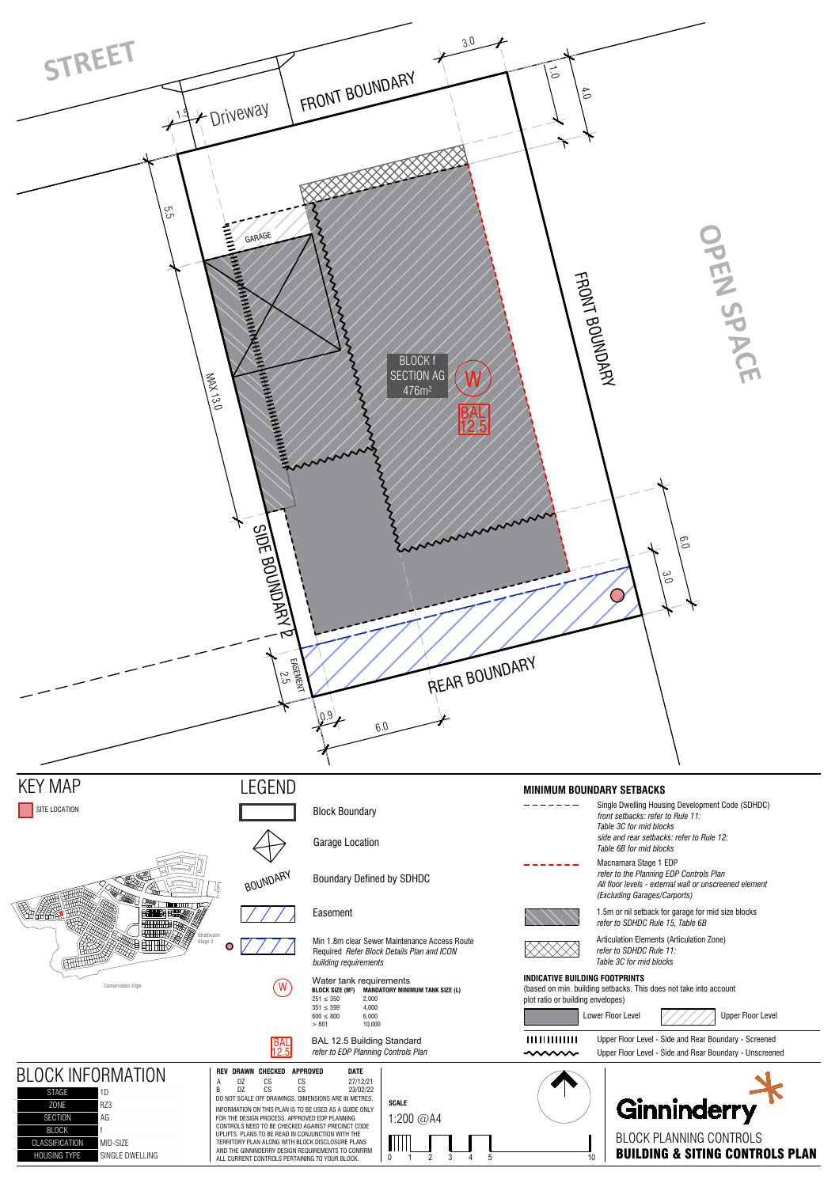